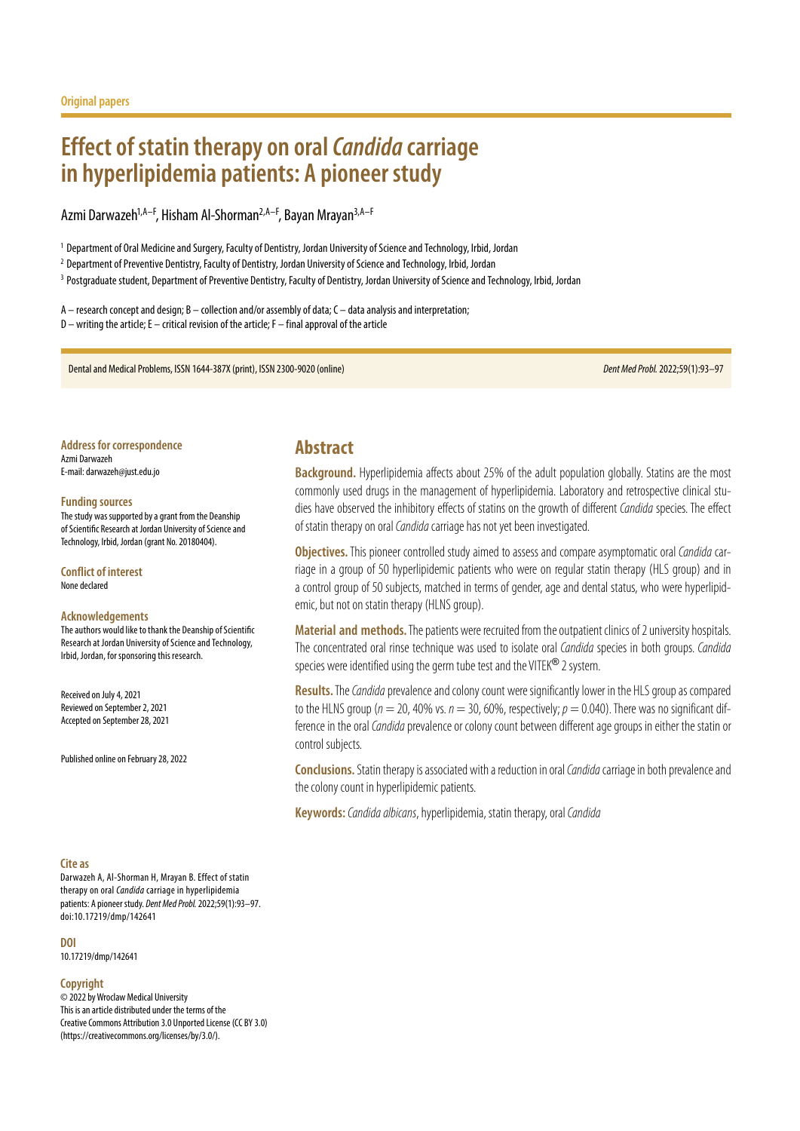# **Effect of statin therapy on oral** *Candida* **carriage in hyperlipidemia patients: A pioneer study**

Azmi Darwazeh<sup>1,A–F</sup>, Hisham Al-Shorman<sup>2,A–F</sup>, Bayan Mrayan<sup>3,A–F</sup>

<sup>1</sup> Department of Oral Medicine and Surgery, Faculty of Dentistry, Jordan University of Science and Technology, Irbid, Jordan

<sup>2</sup> Department of Preventive Dentistry, Faculty of Dentistry, Jordan University of Science and Technology, Irbid, Jordan

<sup>3</sup> Postgraduate student, Department of Preventive Dentistry, Faculty of Dentistry, Jordan University of Science and Technology, Irbid, Jordan

A – research concept and design; B – collection and/or assembly of data; C – data analysis and interpretation; D – writing the article; E – critical revision of the article; F – final approval of the article

Dental and Medical Problems, ISSN 1644-387X (print), ISSN 2300-9020 (online) *Dent Med Probl.* 2022;59(1):93–97

**Address for correspondence** Azmi Darwazeh E-mail: darwazeh@just.edu.jo

#### **Funding sources**

The study was supported by a grant from the Deanship of Scientific Research at Jordan University of Science and Technology, Irbid, Jordan (grant No. 20180404).

**Conflict of interest** None declared

#### **Acknowledgements**

The authors would like to thank the Deanship of Scientific Research at Jordan University of Science and Technology, Irbid, Jordan, for sponsoring this research.

Received on July 4, 2021 Reviewed on September 2, 2021 Accepted on September 28, 2021

Published online on February 28, 2022

#### **Cite as**

Darwazeh A, Al-Shorman H, Mrayan B. Effect of statin therapy on oral *Candida* carriage in hyperlipidemia patients: A pioneer study. *Dent Med Probl.* 2022;59(1):93–97. doi:10.17219/dmp/142641

**DOI**

10.17219/dmp/142641

#### **Copyright**

© 2022 by Wroclaw Medical University This is an article distributed under the terms of the Creative Commons Attribution 3.0 Unported License (CC BY 3.0) [\(https://creativecommons.org/licenses/by/3.0/\)](https://creativecommons.org/licenses/by/3.0/).

## **Abstract**

**Background.** Hyperlipidemia affects about 25% of the adult population globally. Statins are the most commonly used drugs in the management of hyperlipidemia. Laboratory and retrospective clinical studies have observed the inhibitory effects of statins on the growth of different *Candida* species. The effect of statin therapy on oral *Candida* carriage has not yet been investigated.

**Objectives.** This pioneer controlled study aimed to assess and compare asymptomatic oral *Candida* carriage in a group of 50 hyperlipidemic patients who were on regular statin therapy (HLS group) and in a control group of 50 subjects, matched in terms of gender, age and dental status, who were hyperlipidemic, but not on statin therapy (HLNS group).

**Material and methods.** The patients were recruited from the outpatient clinics of 2 university hospitals. The concentrated oral rinse technique was used to isolate oral *Candida* species in both groups. *Candida*  species were identified using the germ tube test and the VITEK® 2 system.

**Results.**The*Candida* prevalence and colony count were significantly lower in the HLS group as compared to the HLNS group ( $n = 20$ , 40% vs.  $n = 30$ , 60%, respectively;  $p = 0.040$ ). There was no significant difference in the oral *Candida* prevalence or colony count between different age groups in either the statin or control subjects.

**Conclusions.**Statin therapy is associated with a reduction in oral *Candida* carriage in both prevalence and the colony count in hyperlipidemic patients.

**Keywords:***Candida albicans*, hyperlipidemia, statin therapy, oral *Candida*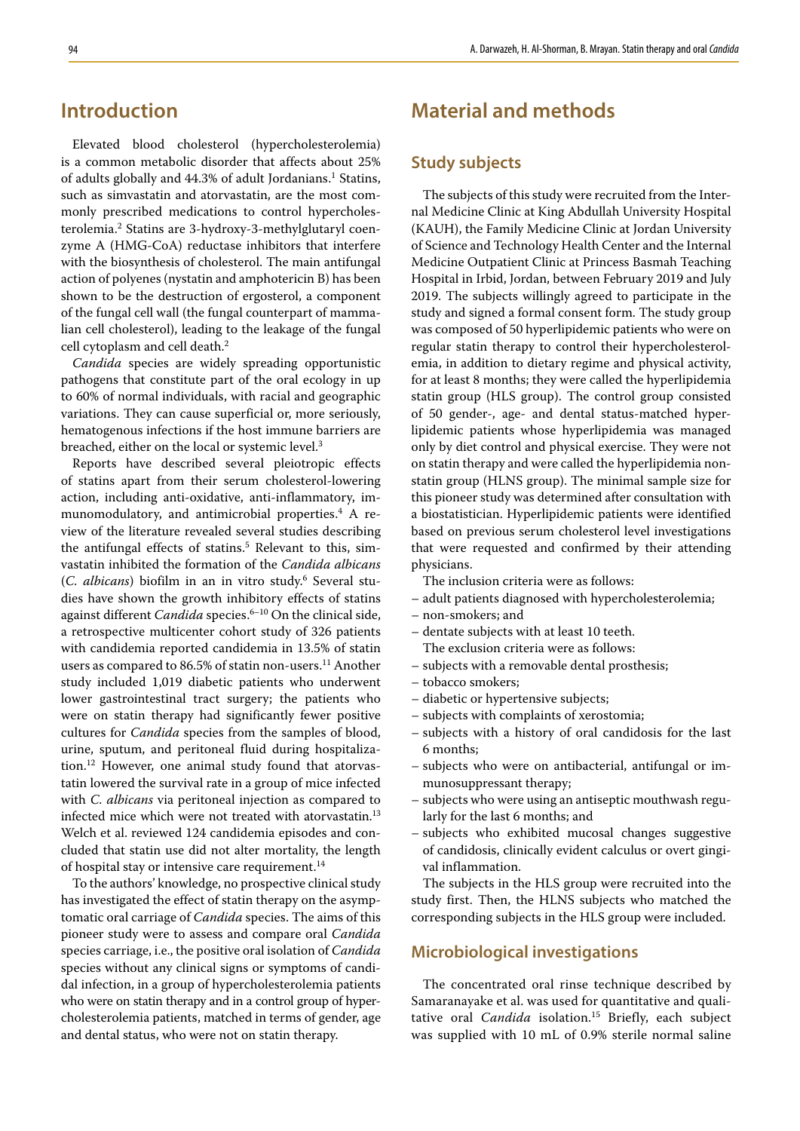## **Introduction**

Elevated blood cholesterol (hypercholesterolemia) is a common metabolic disorder that affects about 25% of adults globally and 44.3% of adult Jordanians.<sup>1</sup> Statins, such as simvastatin and atorvastatin, are the most commonly prescribed medications to control hypercholesterolemia.<sup>2</sup> Statins are 3-hydroxy-3-methylglutaryl coenzyme A (HMG-CoA) reductase inhibitors that interfere with the biosynthesis of cholesterol. The main antifungal action of polyenes (nystatin and amphotericin B) has been shown to be the destruction of ergosterol, a component of the fungal cell wall (the fungal counterpart of mammalian cell cholesterol), leading to the leakage of the fungal cell cytoplasm and cell death.<sup>2</sup>

*Candida* species are widely spreading opportunistic pathogens that constitute part of the oral ecology in up to 60% of normal individuals, with racial and geographic variations. They can cause superficial or, more seriously, hematogenous infections if the host immune barriers are breached, either on the local or systemic level.3

Reports have described several pleiotropic effects of statins apart from their serum cholesterol-lowering action, including anti-oxidative, anti-inflammatory, immunomodulatory, and antimicrobial properties.<sup>4</sup> A review of the literature revealed several studies describing the antifungal effects of statins.<sup>5</sup> Relevant to this, simvastatin inhibited the formation of the *Candida albicans* (*C. albicans*) biofilm in an in vitro study.6 Several studies have shown the growth inhibitory effects of statins against different *Candida* species.<sup>6-10</sup> On the clinical side, a retrospective multicenter cohort study of 326 patients with candidemia reported candidemia in 13.5% of statin users as compared to 86.5% of statin non-users.<sup>11</sup> Another study included 1,019 diabetic patients who underwent lower gastrointestinal tract surgery; the patients who were on statin therapy had significantly fewer positive cultures for *Candida* species from the samples of blood, urine, sputum, and peritoneal fluid during hospitalization.12 However, one animal study found that atorvastatin lowered the survival rate in a group of mice infected with *C. albicans* via peritoneal injection as compared to infected mice which were not treated with atorvastatin.<sup>13</sup> Welch et al. reviewed 124 candidemia episodes and concluded that statin use did not alter mortality, the length of hospital stay or intensive care requirement.<sup>14</sup>

To the authors' knowledge, no prospective clinical study has investigated the effect of statin therapy on the asymptomatic oral carriage of *Candida* species. The aims of this pioneer study were to assess and compare oral *Candida* species carriage, i.e., the positive oral isolation of *Candida* species without any clinical signs or symptoms of candidal infection, in a group of hypercholesterolemia patients who were on statin therapy and in a control group of hypercholesterolemia patients, matched in terms of gender, age and dental status, who were not on statin therapy.

## **Material and methods**

### **Study subjects**

The subjects of this study were recruited from the Internal Medicine Clinic at King Abdullah University Hospital (KAUH), the Family Medicine Clinic at Jordan University of Science and Technology Health Center and the Internal Medicine Outpatient Clinic at Princess Basmah Teaching Hospital in Irbid, Jordan, between February 2019 and July 2019. The subjects willingly agreed to participate in the study and signed a formal consent form. The study group was composed of 50 hyperlipidemic patients who were on regular statin therapy to control their hypercholesterolemia, in addition to dietary regime and physical activity, for at least 8 months; they were called the hyperlipidemia statin group (HLS group). The control group consisted of 50 gender-, age- and dental status-matched hyperlipidemic patients whose hyperlipidemia was managed only by diet control and physical exercise. They were not on statin therapy and were called the hyperlipidemia nonstatin group (HLNS group). The minimal sample size for this pioneer study was determined after consultation with a biostatistician. Hyperlipidemic patients were identified based on previous serum cholesterol level investigations that were requested and confirmed by their attending physicians.

The inclusion criteria were as follows:

- adult patients diagnosed with hypercholesterolemia;
- non-smokers; and
- dentate subjects with at least 10 teeth.
	- The exclusion criteria were as follows:
- subjects with a removable dental prosthesis;
- tobacco smokers;
- diabetic or hypertensive subjects;
- subjects with complaints of xerostomia;
- subjects with a history of oral candidosis for the last 6 months;
- subjects who were on antibacterial, antifungal or immunosuppressant therapy;
- subjects who were using an antiseptic mouthwash regularly for the last 6 months; and
- subjects who exhibited mucosal changes suggestive of candidosis, clinically evident calculus or overt gingival inflammation.

The subjects in the HLS group were recruited into the study first. Then, the HLNS subjects who matched the corresponding subjects in the HLS group were included.

#### **Microbiological investigations**

The concentrated oral rinse technique described by Samaranayake et al. was used for quantitative and qualitative oral *Candida* isolation.<sup>15</sup> Briefly, each subject was supplied with 10 mL of 0.9% sterile normal saline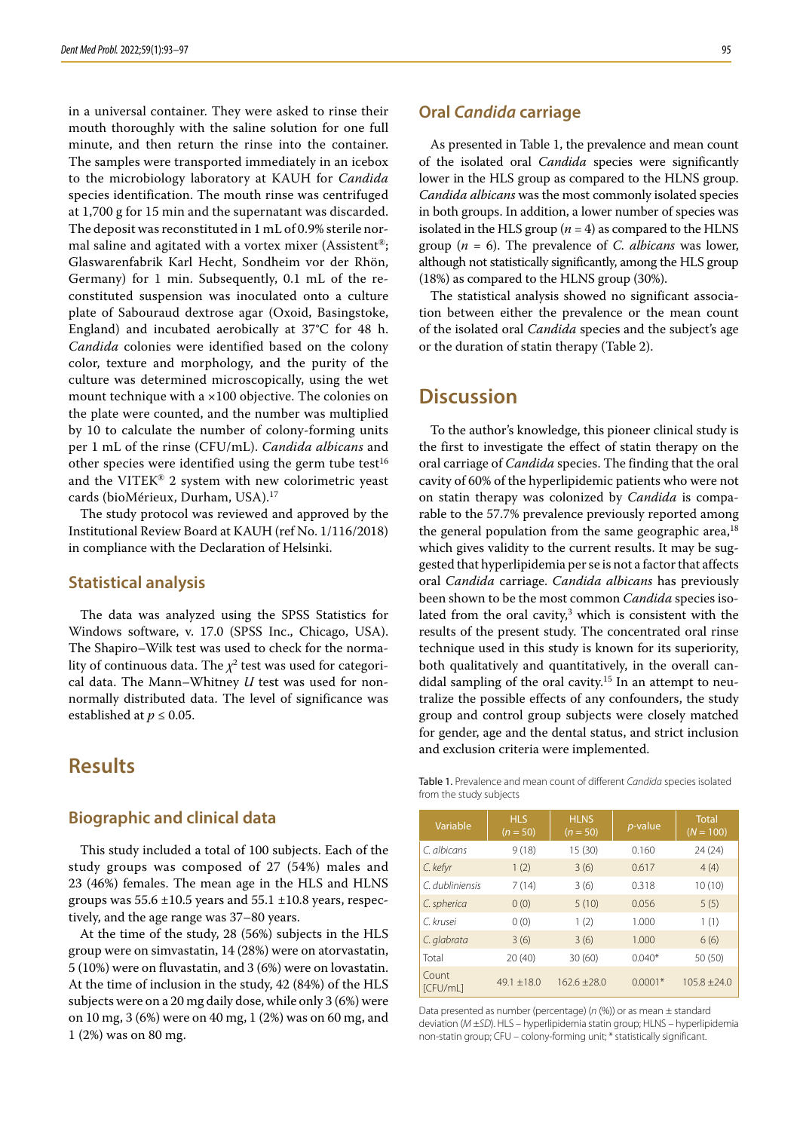in a universal container. They were asked to rinse their mouth thoroughly with the saline solution for one full minute, and then return the rinse into the container. The samples were transported immediately in an icebox to the microbiology laboratory at KAUH for *Candida* species identification. The mouth rinse was centrifuged at 1,700 g for 15 min and the supernatant was discarded. The deposit was reconstituted in 1 mL of 0.9% sterile normal saline and agitated with a vortex mixer (Assistent®; Glaswarenfabrik Karl Hecht, Sondheim vor der Rhön, Germany) for 1 min. Subsequently, 0.1 mL of the reconstituted suspension was inoculated onto a culture plate of Sabouraud dextrose agar (Oxoid, Basingstoke, England) and incubated aerobically at 37°C for 48 h. *Candida* colonies were identified based on the colony color, texture and morphology, and the purity of the culture was determined microscopically, using the wet mount technique with a ×100 objective. The colonies on the plate were counted, and the number was multiplied by 10 to calculate the number of colony-forming units per 1 mL of the rinse (CFU/mL). *Candida albicans* and other species were identified using the germ tube test<sup>16</sup> and the VITEK® 2 system with new colorimetric yeast cards (bioMérieux, Durham, USA).<sup>17</sup>

The study protocol was reviewed and approved by the Institutional Review Board at KAUH (ref No. 1/116/2018) in compliance with the Declaration of Helsinki.

### **Statistical analysis**

The data was analyzed using the SPSS Statistics for Windows software, v. 17.0 (SPSS Inc., Chicago, USA). The Shapiro–Wilk test was used to check for the normality of continuous data. The  $\chi^2$  test was used for categorical data. The Mann–Whitney *U* test was used for nonnormally distributed data. The level of significance was established at  $p \leq 0.05$ .

## **Results**

### **Biographic and clinical data**

This study included a total of 100 subjects. Each of the study groups was composed of 27 (54%) males and 23 (46%) females. The mean age in the HLS and HLNS groups was  $55.6 \pm 10.5$  years and  $55.1 \pm 10.8$  years, respectively, and the age range was 37–80 years.

At the time of the study, 28 (56%) subjects in the HLS group were on simvastatin, 14 (28%) were on atorvastatin, 5 (10%) were on fluvastatin, and 3 (6%) were on lovastatin. At the time of inclusion in the study, 42 (84%) of the HLS subjects were on a 20 mg daily dose, while only 3 (6%) were on 10 mg, 3 (6%) were on 40 mg, 1 (2%) was on 60 mg, and 1 (2%) was on 80 mg.

#### **Oral** *Candida* **carriage**

As presented in Table 1, the prevalence and mean count of the isolated oral *Candida* species were significantly lower in the HLS group as compared to the HLNS group. *Candida albicans* was the most commonly isolated species in both groups. In addition, a lower number of species was isolated in the HLS group  $(n = 4)$  as compared to the HLNS group  $(n = 6)$ . The prevalence of *C. albicans* was lower, although not statistically significantly, among the HLS group (18%) as compared to the HLNS group (30%).

The statistical analysis showed no significant association between either the prevalence or the mean count of the isolated oral *Candida* species and the subject's age or the duration of statin therapy (Table 2).

## **Discussion**

To the author's knowledge, this pioneer clinical study is the first to investigate the effect of statin therapy on the oral carriage of *Candida* species. The finding that the oral cavity of 60% of the hyperlipidemic patients who were not on statin therapy was colonized by *Candida* is comparable to the 57.7% prevalence previously reported among the general population from the same geographic area, $18$ which gives validity to the current results. It may be suggested that hyperlipidemia per se is not a factor that affects oral *Candida* carriage. *Candida albicans* has previously been shown to be the most common *Candida* species isolated from the oral cavity, $3$  which is consistent with the results of the present study. The concentrated oral rinse technique used in this study is known for its superiority, both qualitatively and quantitatively, in the overall candidal sampling of the oral cavity.<sup>15</sup> In an attempt to neutralize the possible effects of any confounders, the study group and control group subjects were closely matched for gender, age and the dental status, and strict inclusion and exclusion criteria were implemented.

|                         | Table 1. Prevalence and mean count of different Candida species isolated |  |
|-------------------------|--------------------------------------------------------------------------|--|
| from the study subjects |                                                                          |  |

| Variable          | <b>HLS</b><br>$(n = 50)$ | <b>HLNS</b><br>$(n = 50)$ | <i>p</i> -value | <b>Total</b><br>$(N = 100)$ |
|-------------------|--------------------------|---------------------------|-----------------|-----------------------------|
| C. albicans       | 9(18)                    | 15 (30)                   | 0.160           | 24(24)                      |
| C. kefyr          | 1(2)                     | 3(6)                      | 0.617           | 4(4)                        |
| C. dubliniensis   | 7(14)                    | 3(6)                      | 0.318           | 10(10)                      |
| C. spherica       | 0(0)                     | 5(10)                     | 0.056           | 5(5)                        |
| C. krusei         | 0(0)                     | 1(2)                      | 1.000           | 1(1)                        |
| C. glabrata       | 3(6)                     | 3(6)                      | 1.000           | 6(6)                        |
| Total             | 20(40)                   | 30(60)                    | $0.040*$        | 50 (50)                     |
| Count<br>[CFU/mL] | $49.1 + 18.0$            | $162.6 + 28.0$            | $0.0001*$       | $105.8 \pm 24.0$            |

Data presented as number (percentage) (*n* (%)) or as mean ± standard deviation (*M* ±*SD*). HLS – hyperlipidemia statin group; HLNS – hyperlipidemia non-statin group; CFU – colony-forming unit; \* statistically significant.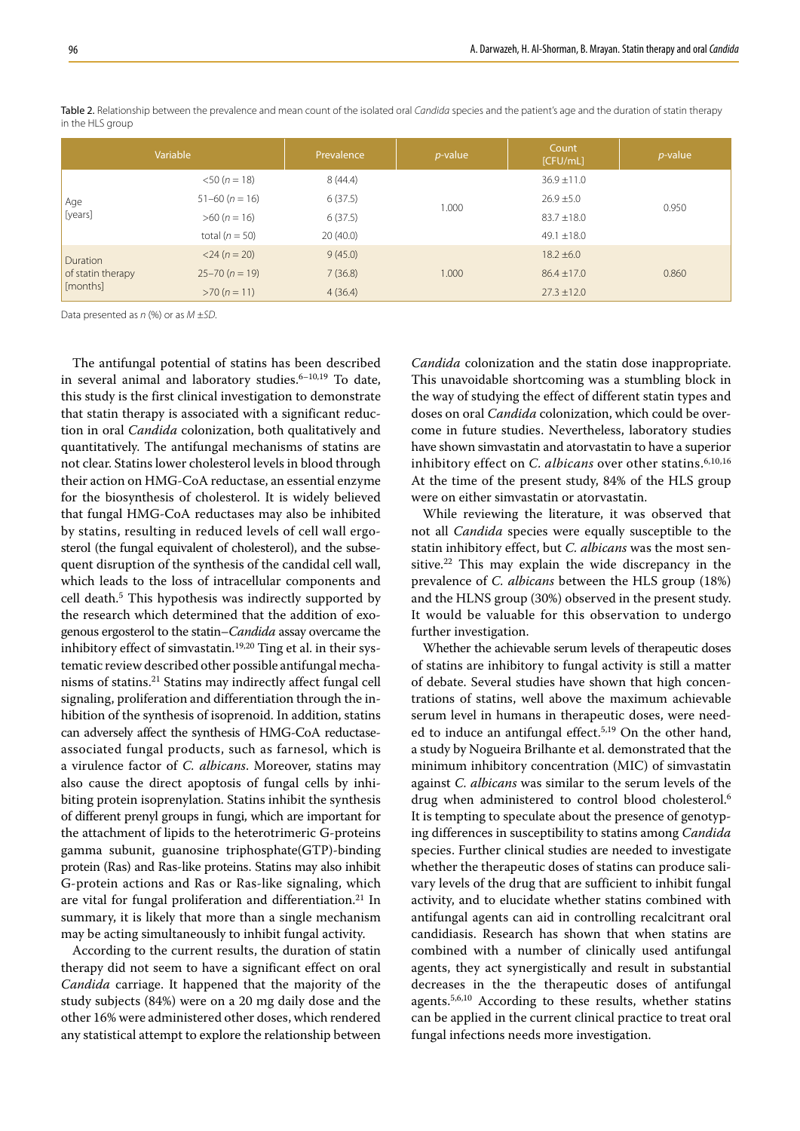|                                                                                                   | Variable            | Prevalence | $p$ -value | Count<br>[CFU/mL] | $p$ -value |
|---------------------------------------------------------------------------------------------------|---------------------|------------|------------|-------------------|------------|
| $<$ 50 ( $n = 18$ )<br>$51-60 (n = 16)$<br>Age<br>[years]<br>$>60 (n = 16)$<br>total ( $n = 50$ ) |                     | 8(44.4)    | 1.000      | $36.9 \pm 11.0$   | 0.950      |
|                                                                                                   |                     | 6(37.5)    |            | $26.9 \pm 5.0$    |            |
|                                                                                                   |                     | 6(37.5)    |            | $83.7 \pm 18.0$   |            |
|                                                                                                   |                     | 20(40.0)   |            | 49.1 $\pm$ 18.0   |            |
| Duration<br>of statin therapy<br>[months]                                                         | $<$ 24 ( $n = 20$ ) | 9(45.0)    |            | $18.2 \pm 6.0$    |            |
|                                                                                                   | $25 - 70 (n = 19)$  | 7(36.8)    | 1.000      | $86.4 \pm 17.0$   | 0.860      |
|                                                                                                   | $>70 (n = 11)$      | 4(36.4)    |            | $27.3 \pm 12.0$   |            |

Table 2. Relationship between the prevalence and mean count of the isolated oral *Candida* species and the patient's age and the duration of statin therapy in the HLS group

Data presented as *n* (%) or as *M* ±*SD*.

The antifungal potential of statins has been described in several animal and laboratory studies. $6-10,19$  To date, this study is the first clinical investigation to demonstrate that statin therapy is associated with a significant reduction in oral *Candida* colonization, both qualitatively and quantitatively. The antifungal mechanisms of statins are not clear. Statins lower cholesterol levels in blood through their action on HMG-CoA reductase, an essential enzyme for the biosynthesis of cholesterol. It is widely believed that fungal HMG-CoA reductases may also be inhibited by statins, resulting in reduced levels of cell wall ergosterol (the fungal equivalent of cholesterol), and the subsequent disruption of the synthesis of the candidal cell wall, which leads to the loss of intracellular components and cell death.<sup>5</sup> This hypothesis was indirectly supported by the research which determined that the addition of exogenous ergosterol to the statin–*Candida* assay overcame the inhibitory effect of simvastatin.<sup>19,20</sup> Ting et al. in their systematic review described other possible antifungal mechanisms of statins.21 Statins may indirectly affect fungal cell signaling, proliferation and differentiation through the inhibition of the synthesis of isoprenoid. In addition, statins can adversely affect the synthesis of HMG-CoA reductaseassociated fungal products, such as farnesol, which is a virulence factor of *C. albicans*. Moreover, statins may also cause the direct apoptosis of fungal cells by inhibiting protein isoprenylation. Statins inhibit the synthesis of different prenyl groups in fungi, which are important for the attachment of lipids to the heterotrimeric G-proteins gamma subunit, guanosine triphosphate(GTP)-binding protein (Ras) and Ras-like proteins. Statins may also inhibit G-protein actions and Ras or Ras-like signaling, which are vital for fungal proliferation and differentiation.<sup>21</sup> In summary, it is likely that more than a single mechanism may be acting simultaneously to inhibit fungal activity.

According to the current results, the duration of statin therapy did not seem to have a significant effect on oral *Candida* carriage. It happened that the majority of the study subjects (84%) were on a 20 mg daily dose and the other 16% were administered other doses, which rendered any statistical attempt to explore the relationship between

*Candida* colonization and the statin dose inappropriate. This unavoidable shortcoming was a stumbling block in the way of studying the effect of different statin types and doses on oral *Candida* colonization, which could be overcome in future studies. Nevertheless, laboratory studies have shown simvastatin and atorvastatin to have a superior inhibitory effect on *C. albicans* over other statins.<sup>6,10,16</sup> At the time of the present study, 84% of the HLS group were on either simvastatin or atorvastatin.

While reviewing the literature, it was observed that not all *Candida* species were equally susceptible to the statin inhibitory effect, but *C. albicans* was the most sensitive.<sup>22</sup> This may explain the wide discrepancy in the prevalence of *C. albicans* between the HLS group (18%) and the HLNS group (30%) observed in the present study. It would be valuable for this observation to undergo further investigation.

Whether the achievable serum levels of therapeutic doses of statins are inhibitory to fungal activity is still a matter of debate. Several studies have shown that high concentrations of statins, well above the maximum achievable serum level in humans in therapeutic doses, were needed to induce an antifungal effect.<sup>5,19</sup> On the other hand, a study by Nogueira Brilhante et al. demonstrated that the minimum inhibitory concentration (MIC) of simvastatin against *C. albicans* was similar to the serum levels of the drug when administered to control blood cholesterol.<sup>6</sup> It is tempting to speculate about the presence of genotyping differences in susceptibility to statins among *Candida* species. Further clinical studies are needed to investigate whether the therapeutic doses of statins can produce salivary levels of the drug that are sufficient to inhibit fungal activity, and to elucidate whether statins combined with antifungal agents can aid in controlling recalcitrant oral candidiasis. Research has shown that when statins are combined with a number of clinically used antifungal agents, they act synergistically and result in substantial decreases in the the therapeutic doses of antifungal agents.5,6,10 According to these results, whether statins can be applied in the current clinical practice to treat oral fungal infections needs more investigation.